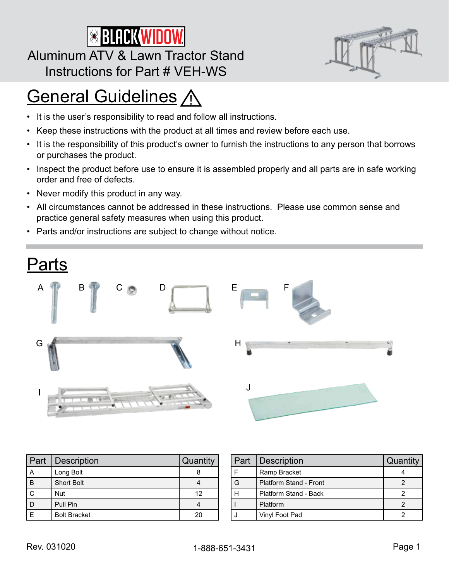# **SBLACKWIDOW**

#### Aluminum ATV & Lawn Tractor Stand Instructions for Part # VEH-WS



- It is the user's responsibility to read and follow all instructions.
- Keep these instructions with the product at all times and review before each use.
- It is the responsibility of this product's owner to furnish the instructions to any person that borrows or purchases the product.
- Inspect the product before use to ensure it is assembled properly and all parts are in safe working order and free of defects.
- Never modify this product in any way.
- All circumstances cannot be addressed in these instructions. Please use common sense and practice general safety measures when using this product.
- Parts and/or instructions are subject to change without notice.



| Part | Description         | Quantity |
|------|---------------------|----------|
| А    | Long Bolt           |          |
| B    | <b>Short Bolt</b>   |          |
|      | <b>Nut</b>          | 12       |
|      | Pull Pin            |          |
|      | <b>Bolt Bracket</b> |          |

| Part   Description     | Quantity |
|------------------------|----------|
| Ramp Bracket           |          |
| Platform Stand - Front |          |
| Platform Stand - Back  |          |
| Platform               |          |
| Vinyl Foot Pad         |          |

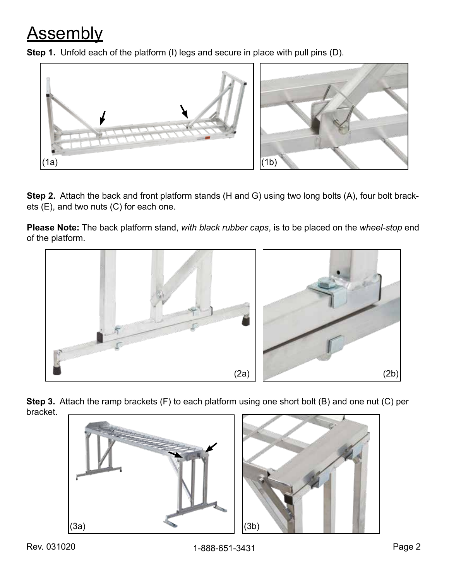## Assembly





**Step 2.** Attach the back and front platform stands (H and G) using two long bolts (A), four bolt brackets (E), and two nuts (C) for each one.

**Please Note:** The back platform stand, *with black rubber caps*, is to be placed on the *wheel-stop* end of the platform.



**Step 3.** Attach the ramp brackets (F) to each platform using one short bolt (B) and one nut (C) per bracket.

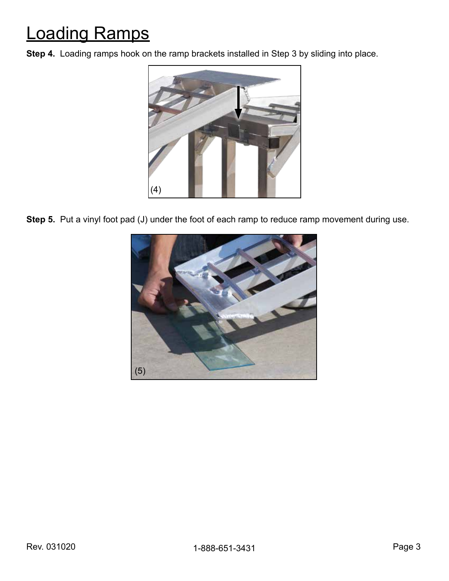## Loading Ramps

**Step 4.** Loading ramps hook on the ramp brackets installed in Step 3 by sliding into place.



**Step 5.** Put a vinyl foot pad (J) under the foot of each ramp to reduce ramp movement during use.